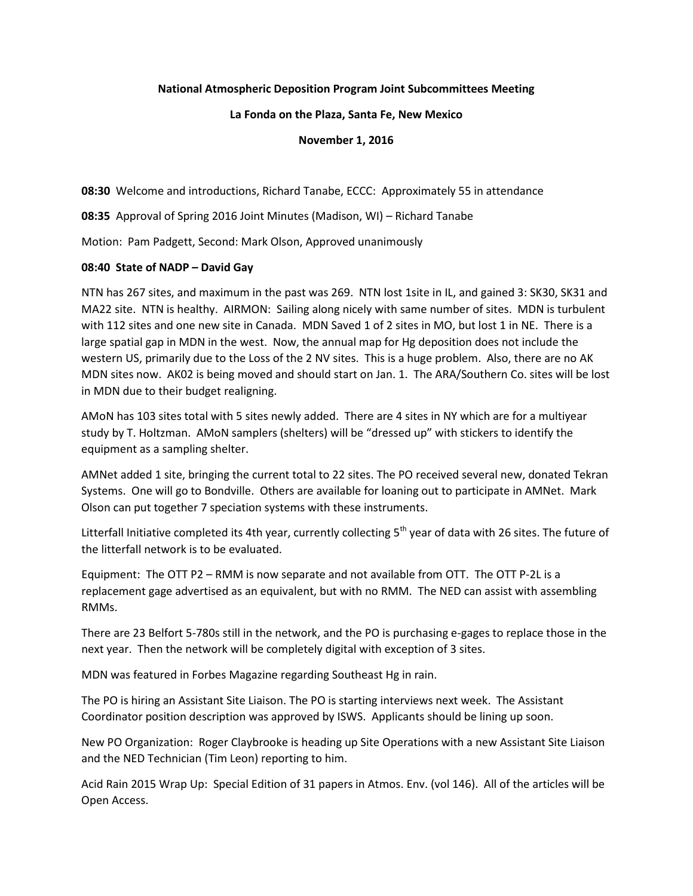## **National Atmospheric Deposition Program Joint Subcommittees Meeting**

#### **La Fonda on the Plaza, Santa Fe, New Mexico**

### **November 1, 2016**

**08:30** Welcome and introductions, Richard Tanabe, ECCC: Approximately 55 in attendance

**08:35** Approval of Spring 2016 Joint Minutes (Madison, WI) – Richard Tanabe

Motion: Pam Padgett, Second: Mark Olson, Approved unanimously

### **08:40 State of NADP – David Gay**

NTN has 267 sites, and maximum in the past was 269. NTN lost 1site in IL, and gained 3: SK30, SK31 and MA22 site. NTN is healthy. AIRMON: Sailing along nicely with same number of sites. MDN is turbulent with 112 sites and one new site in Canada. MDN Saved 1 of 2 sites in MO, but lost 1 in NE. There is a large spatial gap in MDN in the west. Now, the annual map for Hg deposition does not include the western US, primarily due to the Loss of the 2 NV sites. This is a huge problem. Also, there are no AK MDN sites now. AK02 is being moved and should start on Jan. 1. The ARA/Southern Co. sites will be lost in MDN due to their budget realigning.

AMoN has 103 sites total with 5 sites newly added. There are 4 sites in NY which are for a multiyear study by T. Holtzman. AMoN samplers (shelters) will be "dressed up" with stickers to identify the equipment as a sampling shelter.

AMNet added 1 site, bringing the current total to 22 sites. The PO received several new, donated Tekran Systems. One will go to Bondville. Others are available for loaning out to participate in AMNet. Mark Olson can put together 7 speciation systems with these instruments.

Litterfall Initiative completed its 4th year, currently collecting 5<sup>th</sup> year of data with 26 sites. The future of the litterfall network is to be evaluated.

Equipment: The OTT P2 – RMM is now separate and not available from OTT. The OTT P-2L is a replacement gage advertised as an equivalent, but with no RMM. The NED can assist with assembling RMMs.

There are 23 Belfort 5-780s still in the network, and the PO is purchasing e-gages to replace those in the next year. Then the network will be completely digital with exception of 3 sites.

MDN was featured in Forbes Magazine regarding Southeast Hg in rain.

The PO is hiring an Assistant Site Liaison. The PO is starting interviews next week. The Assistant Coordinator position description was approved by ISWS. Applicants should be lining up soon.

New PO Organization: Roger Claybrooke is heading up Site Operations with a new Assistant Site Liaison and the NED Technician (Tim Leon) reporting to him.

Acid Rain 2015 Wrap Up: Special Edition of 31 papers in Atmos. Env. (vol 146). All of the articles will be Open Access.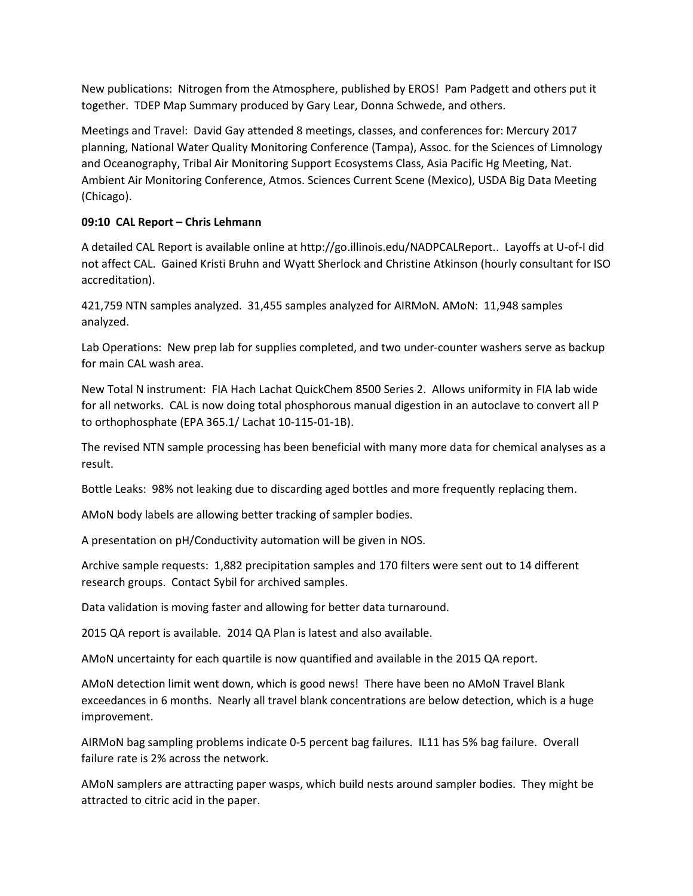New publications: Nitrogen from the Atmosphere, published by EROS! Pam Padgett and others put it together. TDEP Map Summary produced by Gary Lear, Donna Schwede, and others.

Meetings and Travel: David Gay attended 8 meetings, classes, and conferences for: Mercury 2017 planning, National Water Quality Monitoring Conference (Tampa), Assoc. for the Sciences of Limnology and Oceanography, Tribal Air Monitoring Support Ecosystems Class, Asia Pacific Hg Meeting, Nat. Ambient Air Monitoring Conference, Atmos. Sciences Current Scene (Mexico), USDA Big Data Meeting (Chicago).

# **09:10 CAL Report – Chris Lehmann**

A detailed CAL Report is available online at http://go.illinois.edu/NADPCALReport.. Layoffs at U-of-I did not affect CAL. Gained Kristi Bruhn and Wyatt Sherlock and Christine Atkinson (hourly consultant for ISO accreditation).

421,759 NTN samples analyzed. 31,455 samples analyzed for AIRMoN. AMoN: 11,948 samples analyzed.

Lab Operations: New prep lab for supplies completed, and two under-counter washers serve as backup for main CAL wash area.

New Total N instrument: FIA Hach Lachat QuickChem 8500 Series 2. Allows uniformity in FIA lab wide for all networks. CAL is now doing total phosphorous manual digestion in an autoclave to convert all P to orthophosphate (EPA 365.1/ Lachat 10-115-01-1B).

The revised NTN sample processing has been beneficial with many more data for chemical analyses as a result.

Bottle Leaks: 98% not leaking due to discarding aged bottles and more frequently replacing them.

AMoN body labels are allowing better tracking of sampler bodies.

A presentation on pH/Conductivity automation will be given in NOS.

Archive sample requests: 1,882 precipitation samples and 170 filters were sent out to 14 different research groups. Contact Sybil for archived samples.

Data validation is moving faster and allowing for better data turnaround.

2015 QA report is available. 2014 QA Plan is latest and also available.

AMoN uncertainty for each quartile is now quantified and available in the 2015 QA report.

AMoN detection limit went down, which is good news! There have been no AMoN Travel Blank exceedances in 6 months. Nearly all travel blank concentrations are below detection, which is a huge improvement.

AIRMoN bag sampling problems indicate 0-5 percent bag failures. IL11 has 5% bag failure. Overall failure rate is 2% across the network.

AMoN samplers are attracting paper wasps, which build nests around sampler bodies. They might be attracted to citric acid in the paper.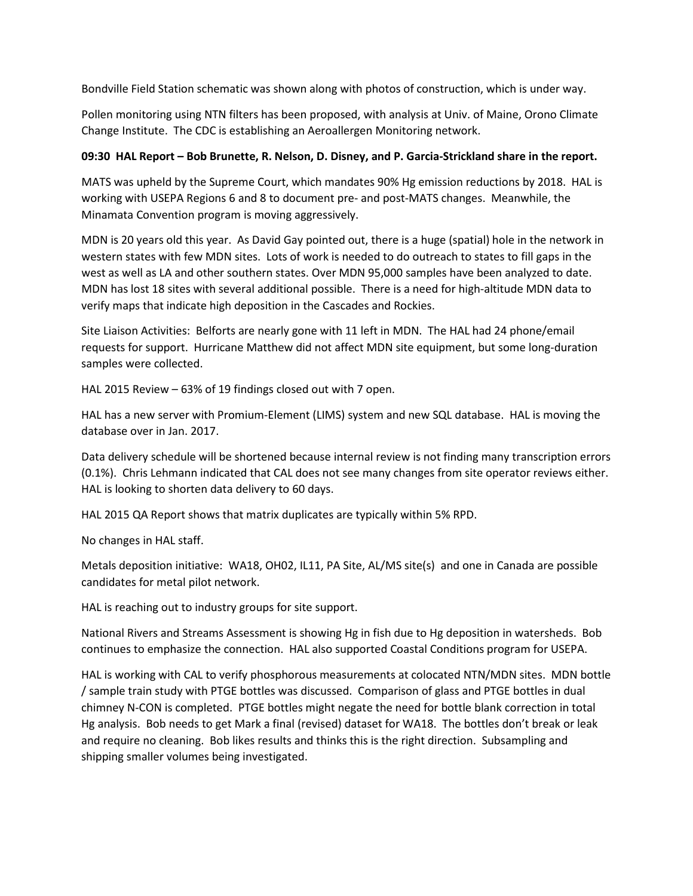Bondville Field Station schematic was shown along with photos of construction, which is under way.

Pollen monitoring using NTN filters has been proposed, with analysis at Univ. of Maine, Orono Climate Change Institute. The CDC is establishing an Aeroallergen Monitoring network.

# **09:30 HAL Report – Bob Brunette, R. Nelson, D. Disney, and P. Garcia-Strickland share in the report.**

MATS was upheld by the Supreme Court, which mandates 90% Hg emission reductions by 2018. HAL is working with USEPA Regions 6 and 8 to document pre- and post-MATS changes. Meanwhile, the Minamata Convention program is moving aggressively.

MDN is 20 years old this year. As David Gay pointed out, there is a huge (spatial) hole in the network in western states with few MDN sites. Lots of work is needed to do outreach to states to fill gaps in the west as well as LA and other southern states. Over MDN 95,000 samples have been analyzed to date. MDN has lost 18 sites with several additional possible. There is a need for high-altitude MDN data to verify maps that indicate high deposition in the Cascades and Rockies.

Site Liaison Activities: Belforts are nearly gone with 11 left in MDN. The HAL had 24 phone/email requests for support. Hurricane Matthew did not affect MDN site equipment, but some long-duration samples were collected.

HAL 2015 Review – 63% of 19 findings closed out with 7 open.

HAL has a new server with Promium-Element (LIMS) system and new SQL database. HAL is moving the database over in Jan. 2017.

Data delivery schedule will be shortened because internal review is not finding many transcription errors (0.1%). Chris Lehmann indicated that CAL does not see many changes from site operator reviews either. HAL is looking to shorten data delivery to 60 days.

HAL 2015 QA Report shows that matrix duplicates are typically within 5% RPD.

No changes in HAL staff.

Metals deposition initiative: WA18, OH02, IL11, PA Site, AL/MS site(s) and one in Canada are possible candidates for metal pilot network.

HAL is reaching out to industry groups for site support.

National Rivers and Streams Assessment is showing Hg in fish due to Hg deposition in watersheds. Bob continues to emphasize the connection. HAL also supported Coastal Conditions program for USEPA.

HAL is working with CAL to verify phosphorous measurements at colocated NTN/MDN sites. MDN bottle / sample train study with PTGE bottles was discussed. Comparison of glass and PTGE bottles in dual chimney N-CON is completed. PTGE bottles might negate the need for bottle blank correction in total Hg analysis. Bob needs to get Mark a final (revised) dataset for WA18. The bottles don't break or leak and require no cleaning. Bob likes results and thinks this is the right direction. Subsampling and shipping smaller volumes being investigated.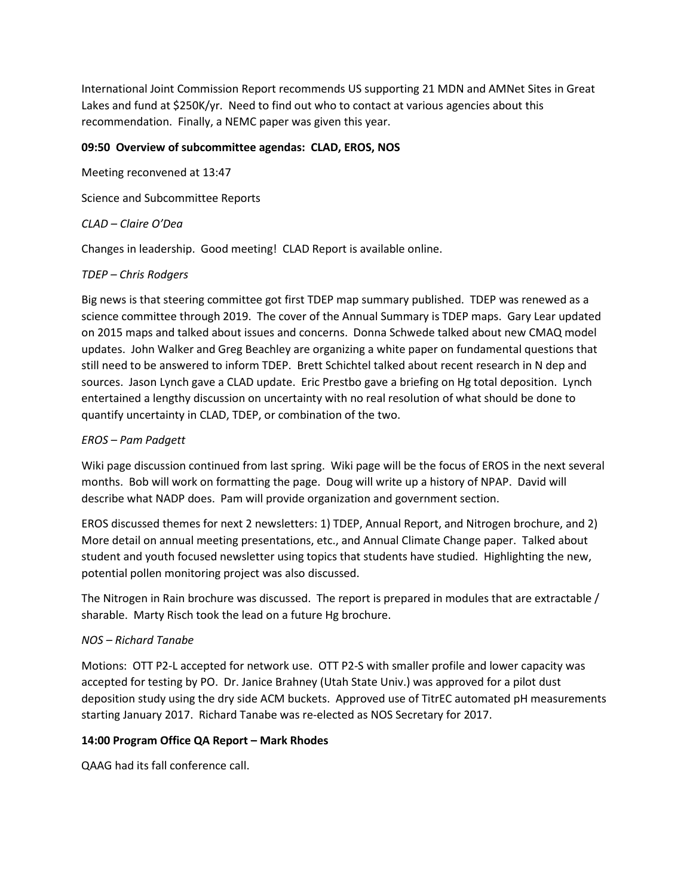International Joint Commission Report recommends US supporting 21 MDN and AMNet Sites in Great Lakes and fund at \$250K/yr. Need to find out who to contact at various agencies about this recommendation. Finally, a NEMC paper was given this year.

## **09:50 Overview of subcommittee agendas: CLAD, EROS, NOS**

Meeting reconvened at 13:47

Science and Subcommittee Reports

### *CLAD – Claire O'Dea*

Changes in leadership. Good meeting! CLAD Report is available online.

## *TDEP – Chris Rodgers*

Big news is that steering committee got first TDEP map summary published. TDEP was renewed as a science committee through 2019. The cover of the Annual Summary is TDEP maps. Gary Lear updated on 2015 maps and talked about issues and concerns. Donna Schwede talked about new CMAQ model updates. John Walker and Greg Beachley are organizing a white paper on fundamental questions that still need to be answered to inform TDEP. Brett Schichtel talked about recent research in N dep and sources. Jason Lynch gave a CLAD update. Eric Prestbo gave a briefing on Hg total deposition. Lynch entertained a lengthy discussion on uncertainty with no real resolution of what should be done to quantify uncertainty in CLAD, TDEP, or combination of the two.

### *EROS – Pam Padgett*

Wiki page discussion continued from last spring. Wiki page will be the focus of EROS in the next several months. Bob will work on formatting the page. Doug will write up a history of NPAP. David will describe what NADP does. Pam will provide organization and government section.

EROS discussed themes for next 2 newsletters: 1) TDEP, Annual Report, and Nitrogen brochure, and 2) More detail on annual meeting presentations, etc., and Annual Climate Change paper. Talked about student and youth focused newsletter using topics that students have studied. Highlighting the new, potential pollen monitoring project was also discussed.

The Nitrogen in Rain brochure was discussed. The report is prepared in modules that are extractable / sharable. Marty Risch took the lead on a future Hg brochure.

#### *NOS – Richard Tanabe*

Motions: OTT P2-L accepted for network use. OTT P2-S with smaller profile and lower capacity was accepted for testing by PO. Dr. Janice Brahney (Utah State Univ.) was approved for a pilot dust deposition study using the dry side ACM buckets. Approved use of TitrEC automated pH measurements starting January 2017. Richard Tanabe was re-elected as NOS Secretary for 2017.

## **14:00 Program Office QA Report – Mark Rhodes**

QAAG had its fall conference call.